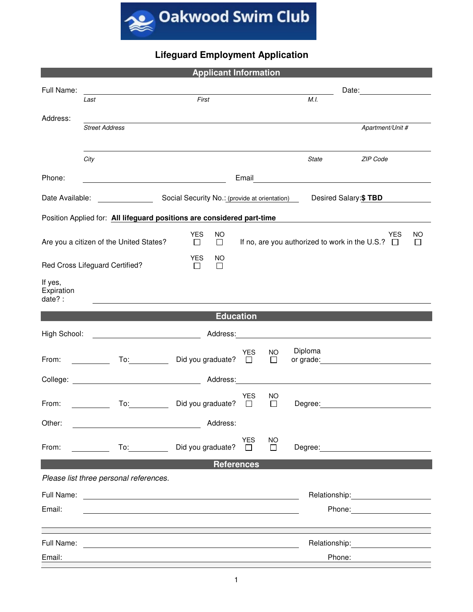

## **Lifeguard Employment Application**

| <b>Applicant Information</b>                                           |                                                                                                                         |                                                                                                                      |                                                       |                     |                                                                                                                      |                       |                                                                                                                                                                                                                               |              |  |  |  |  |
|------------------------------------------------------------------------|-------------------------------------------------------------------------------------------------------------------------|----------------------------------------------------------------------------------------------------------------------|-------------------------------------------------------|---------------------|----------------------------------------------------------------------------------------------------------------------|-----------------------|-------------------------------------------------------------------------------------------------------------------------------------------------------------------------------------------------------------------------------|--------------|--|--|--|--|
| Full Name:                                                             | <u> 1989 - Johann Barbara, martxa alemaniar a</u>                                                                       |                                                                                                                      |                                                       |                     |                                                                                                                      |                       |                                                                                                                                                                                                                               |              |  |  |  |  |
|                                                                        | Last                                                                                                                    | First                                                                                                                |                                                       |                     | M.I.                                                                                                                 |                       |                                                                                                                                                                                                                               |              |  |  |  |  |
| Address:                                                               | <b>Street Address</b>                                                                                                   |                                                                                                                      |                                                       |                     |                                                                                                                      |                       | Apartment/Unit #                                                                                                                                                                                                              |              |  |  |  |  |
|                                                                        |                                                                                                                         |                                                                                                                      |                                                       |                     |                                                                                                                      |                       |                                                                                                                                                                                                                               |              |  |  |  |  |
|                                                                        | City                                                                                                                    |                                                                                                                      |                                                       |                     | <b>State</b>                                                                                                         |                       | ZIP Code                                                                                                                                                                                                                      |              |  |  |  |  |
| Phone:                                                                 |                                                                                                                         | <u> 1989 - Johann Barn, mars eta bat erroman erroman erroman erroman erroman erroman erroman erroman erroman err</u> | Email                                                 |                     |                                                                                                                      |                       | <u> 1980 - Andrea Andrew Maria (h. 1974).</u>                                                                                                                                                                                 |              |  |  |  |  |
| Date Available:                                                        |                                                                                                                         |                                                                                                                      | Social Security No.: (provide at orientation)         |                     |                                                                                                                      | Desired Salary: \$TBD |                                                                                                                                                                                                                               |              |  |  |  |  |
| Position Applied for: All lifeguard positions are considered part-time |                                                                                                                         |                                                                                                                      |                                                       |                     |                                                                                                                      |                       |                                                                                                                                                                                                                               |              |  |  |  |  |
| <b>YES</b><br><b>NO</b><br><b>YES</b><br>NO.                           |                                                                                                                         |                                                                                                                      |                                                       |                     |                                                                                                                      |                       |                                                                                                                                                                                                                               |              |  |  |  |  |
|                                                                        | Are you a citizen of the United States?                                                                                 | $\Box$<br>□                                                                                                          | If no, are you authorized to work in the U.S.? $\Box$ |                     |                                                                                                                      |                       |                                                                                                                                                                                                                               | $\mathbf{L}$ |  |  |  |  |
|                                                                        | Red Cross Lifeguard Certified?                                                                                          | <b>YES</b><br>NO<br>$\Box$<br>$\Box$                                                                                 |                                                       |                     |                                                                                                                      |                       |                                                                                                                                                                                                                               |              |  |  |  |  |
| If yes,<br>Expiration<br>date? :                                       |                                                                                                                         |                                                                                                                      |                                                       |                     |                                                                                                                      |                       |                                                                                                                                                                                                                               |              |  |  |  |  |
| <b>Education</b>                                                       |                                                                                                                         |                                                                                                                      |                                                       |                     |                                                                                                                      |                       |                                                                                                                                                                                                                               |              |  |  |  |  |
| High School:                                                           | <u> 2002 - Johann Stoff, deutscher Stoffen und der Stoffen und der Stoffen und der Stoffen und der Stoffen und der </u> | Address:                                                                                                             |                                                       |                     | <u> 1989 - Andrea Andrew Maria (b. 1989)</u>                                                                         |                       |                                                                                                                                                                                                                               |              |  |  |  |  |
| From:                                                                  | To: and the state of the state of the state of the state of the state of the state of the state of the state o          | Did you graduate?                                                                                                    | <b>YES</b><br>$\Box$                                  | <b>NO</b><br>$\Box$ | Diploma                                                                                                              |                       |                                                                                                                                                                                                                               |              |  |  |  |  |
|                                                                        |                                                                                                                         | Address:                                                                                                             |                                                       |                     | <u> 1989 - Johann Stein, fransk konge og det forske forskellige og det forske forskellige og det forskellige og </u> |                       |                                                                                                                                                                                                                               |              |  |  |  |  |
| From:                                                                  | To: and the state of the state of the state of the state of the state of the state of the state of the state o          | Did you graduate?                                                                                                    | YES<br>$\Box$                                         | ΝO<br>$\Box$        | Degree:                                                                                                              |                       |                                                                                                                                                                                                                               |              |  |  |  |  |
| Other:                                                                 | <u> 1989 - Johann Barbara, martin amerikan personal (</u>                                                               | Address:                                                                                                             |                                                       |                     |                                                                                                                      |                       |                                                                                                                                                                                                                               |              |  |  |  |  |
| From:                                                                  |                                                                                                                         | To: Did you graduate? □                                                                                              | <b>YES</b>                                            | NO.<br>$\Box$       |                                                                                                                      |                       | Degree: <u>__________________________________</u>                                                                                                                                                                             |              |  |  |  |  |
|                                                                        |                                                                                                                         |                                                                                                                      | <b>References</b>                                     |                     |                                                                                                                      |                       |                                                                                                                                                                                                                               |              |  |  |  |  |
|                                                                        | Please list three personal references.                                                                                  |                                                                                                                      |                                                       |                     |                                                                                                                      |                       |                                                                                                                                                                                                                               |              |  |  |  |  |
|                                                                        |                                                                                                                         |                                                                                                                      |                                                       |                     |                                                                                                                      |                       | Relationship: The contract of the contract of the contract of the contract of the contract of the contract of the contract of the contract of the contract of the contract of the contract of the contract of the contract of |              |  |  |  |  |
| Email:                                                                 |                                                                                                                         |                                                                                                                      |                                                       |                     |                                                                                                                      |                       | Phone: <u>______________</u>                                                                                                                                                                                                  |              |  |  |  |  |
|                                                                        |                                                                                                                         |                                                                                                                      |                                                       |                     |                                                                                                                      |                       |                                                                                                                                                                                                                               |              |  |  |  |  |
|                                                                        |                                                                                                                         |                                                                                                                      |                                                       |                     |                                                                                                                      |                       |                                                                                                                                                                                                                               |              |  |  |  |  |
| Email:                                                                 |                                                                                                                         |                                                                                                                      |                                                       |                     |                                                                                                                      | Phone:                |                                                                                                                                                                                                                               |              |  |  |  |  |